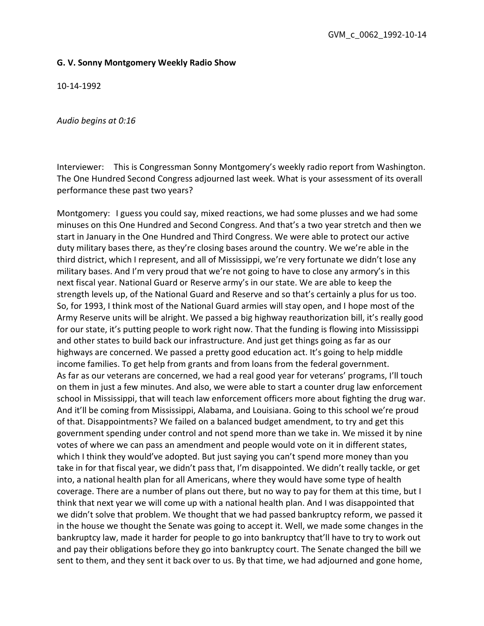## G. V. Sonny Montgomery Weekly Radio Show

10-14-1992

Audio begins at 0:16

Interviewer: This is Congressman Sonny Montgomery's weekly radio report from Washington. The One Hundred Second Congress adjourned last week. What is your assessment of its overall performance these past two years?

Montgomery: I guess you could say, mixed reactions, we had some plusses and we had some minuses on this One Hundred and Second Congress. And that's a two year stretch and then we start in January in the One Hundred and Third Congress. We were able to protect our active duty military bases there, as they're closing bases around the country. We we're able in the third district, which I represent, and all of Mississippi, we're very fortunate we didn't lose any military bases. And I'm very proud that we're not going to have to close any armory's in this next fiscal year. National Guard or Reserve army's in our state. We are able to keep the strength levels up, of the National Guard and Reserve and so that's certainly a plus for us too. So, for 1993, I think most of the National Guard armies will stay open, and I hope most of the Army Reserve units will be alright. We passed a big highway reauthorization bill, it's really good for our state, it's putting people to work right now. That the funding is flowing into Mississippi and other states to build back our infrastructure. And just get things going as far as our highways are concerned. We passed a pretty good education act. It's going to help middle income families. To get help from grants and from loans from the federal government. As far as our veterans are concerned, we had a real good year for veterans' programs, I'll touch on them in just a few minutes. And also, we were able to start a counter drug law enforcement school in Mississippi, that will teach law enforcement officers more about fighting the drug war. And it'll be coming from Mississippi, Alabama, and Louisiana. Going to this school we're proud of that. Disappointments? We failed on a balanced budget amendment, to try and get this government spending under control and not spend more than we take in. We missed it by nine votes of where we can pass an amendment and people would vote on it in different states, which I think they would've adopted. But just saying you can't spend more money than you take in for that fiscal year, we didn't pass that, I'm disappointed. We didn't really tackle, or get into, a national health plan for all Americans, where they would have some type of health coverage. There are a number of plans out there, but no way to pay for them at this time, but I think that next year we will come up with a national health plan. And I was disappointed that we didn't solve that problem. We thought that we had passed bankruptcy reform, we passed it in the house we thought the Senate was going to accept it. Well, we made some changes in the bankruptcy law, made it harder for people to go into bankruptcy that'll have to try to work out and pay their obligations before they go into bankruptcy court. The Senate changed the bill we sent to them, and they sent it back over to us. By that time, we had adjourned and gone home,